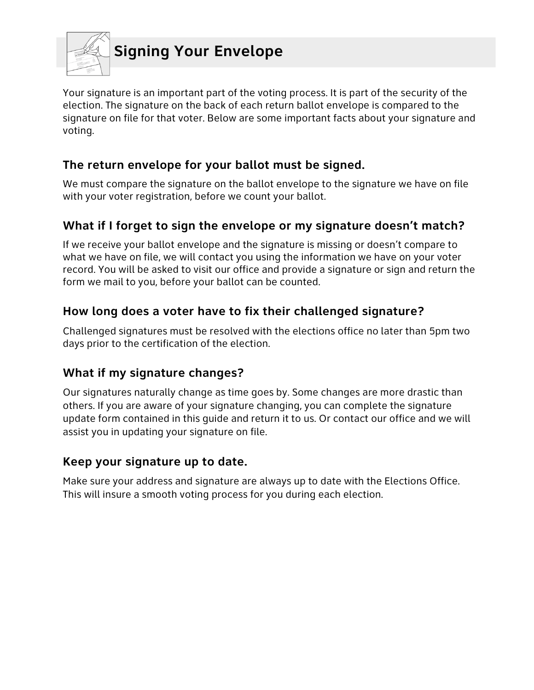

Your signature is an important part of the voting process. It is part of the security of the election. The signature on the back of each return ballot envelope is compared to the signature on file for that voter. Below are some important facts about your signature and voting.

## **The return envelope for your ballot must be signed.**

We must compare the signature on the ballot envelope to the signature we have on file with your voter registration, before we count your ballot.

# **What if I forget to sign the envelope or my signature doesn't match?**

If we receive your ballot envelope and the signature is missing or doesn't compare to what we have on file, we will contact you using the information we have on your voter record. You will be asked to visit our office and provide a signature or sign and return the form we mail to you, before your ballot can be counted.

## **How long does a voter have to fix their challenged signature?**

Challenged signatures must be resolved with the elections office no later than 5pm two days prior to the certification of the election.

### **What if my signature changes?**

Our signatures naturally change as time goes by. Some changes are more drastic than others. If you are aware of your signature changing, you can complete the signature update form contained in this guide and return it to us. Or contact our office and we will assist you in updating your signature on file.

### **Keep your signature up to date.**

Make sure your address and signature are always up to date with the Elections Office. This will insure a smooth voting process for you during each election.